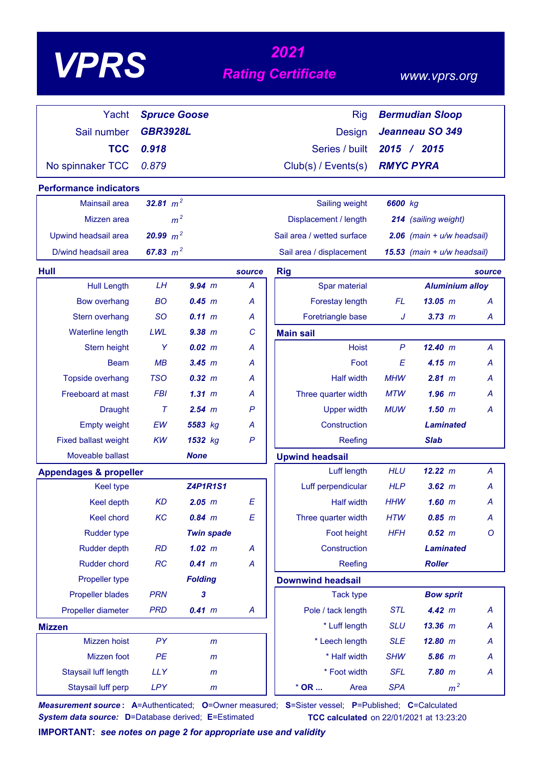# *<sup>2021</sup> VPRS Rating Certificate*

### *www.vprs.org*

| Yacht                             | <b>Spruce Goose</b> |                   |                  | <b>Rig</b><br><b>Bermudian Sloop</b> |                 |                              |         |  |
|-----------------------------------|---------------------|-------------------|------------------|--------------------------------------|-----------------|------------------------------|---------|--|
| Sail number                       | <b>GBR3928L</b>     |                   |                  | <b>Design</b>                        | Jeanneau SO 349 |                              |         |  |
| <b>TCC</b>                        | 0.918               |                   |                  | Series / built                       | 2015            | 2015<br>$\mathcal{L}$        |         |  |
| No spinnaker TCC                  | 0.879               |                   |                  | $Club(s)$ / Events(s)                |                 | <b>RMYC PYRA</b>             |         |  |
| <b>Performance indicators</b>     |                     |                   |                  |                                      |                 |                              |         |  |
| Mainsail area                     | 32.81 $m^2$         |                   |                  | Sailing weight                       | 6600 kg         |                              |         |  |
| Mizzen area                       |                     | m <sup>2</sup>    |                  | Displacement / length                |                 | 214 (sailing weight)         |         |  |
| Upwind headsail area              | 20.99 $m^2$         |                   |                  | Sail area / wetted surface           |                 | 2.06 (main $+ u/w$ headsail) |         |  |
| D/wind headsail area              | 67.83 $m^2$         |                   |                  | Sail area / displacement             |                 | 15.53 (main + u/w headsail)  |         |  |
| Hull                              |                     |                   | source           | <b>Rig</b>                           |                 |                              | source  |  |
| <b>Hull Length</b>                | LH                  | $9.94$ m          | $\overline{A}$   | Spar material                        |                 | <b>Aluminium alloy</b>       |         |  |
| <b>Bow overhang</b>               | <b>BO</b>           | 0.45 m            | A                | Forestay length                      | FL              | 13.05~m                      | A       |  |
| Stern overhang                    | <b>SO</b>           | 0.11 m            | A                | Foretriangle base                    | J               | $3.73$ $m$                   | A       |  |
| <b>Waterline length</b>           | LWL                 | 9.38 m            | C                | <b>Main sail</b>                     |                 |                              |         |  |
| Stern height                      | Y                   | $0.02 \, m$       | A                | <b>Hoist</b>                         | $\mathsf{P}$    | 12.40 m                      | Α       |  |
| <b>Beam</b>                       | MB                  | 3.45 m            | A                | Foot                                 | E               | 4.15 m                       | Α       |  |
| Topside overhang                  | <b>TSO</b>          | $0.32 \, m$       | A                | <b>Half width</b>                    | <b>MHW</b>      | 2.81 m                       | A       |  |
| Freeboard at mast                 | <b>FBI</b>          | 1.31~m            | А                | Three quarter width                  | <b>MTW</b>      | $1.96$ $m$                   | А       |  |
| <b>Draught</b>                    | $\tau$              | 2.54 m            | P                | <b>Upper width</b>                   | <b>MUW</b>      | 1.50~m                       | A       |  |
| <b>Empty weight</b>               | EW                  | 5583 kg           | А                | Construction                         |                 | <b>Laminated</b>             |         |  |
| <b>Fixed ballast weight</b>       | <b>KW</b>           | 1532 kg           | $\mathsf{P}$     | Reefing                              |                 | <b>Slab</b>                  |         |  |
| Moveable ballast                  |                     | <b>None</b>       |                  | <b>Upwind headsail</b>               |                 |                              |         |  |
| <b>Appendages &amp; propeller</b> |                     |                   |                  | Luff length                          | <b>HLU</b>      | 12.22 m                      | A       |  |
| <b>Keel type</b>                  |                     | <b>Z4P1R1S1</b>   |                  | Luff perpendicular                   | <b>HLP</b>      | $3.62$ $m$                   | A       |  |
| <b>Keel depth</b>                 | <b>KD</b>           | $2.05$ $m$        | E                | <b>Half width</b>                    | <b>HHW</b>      | $1.60$ m                     | A       |  |
| Keel chord                        | KC                  | $0.84$ m          | E                | Three quarter width                  | <b>HTW</b>      | $0.85$ $m$                   | A       |  |
| <b>Rudder type</b>                |                     | <b>Twin spade</b> |                  | Foot height                          | <b>HFH</b>      | 0.52 m                       | $\circ$ |  |
| <b>Rudder depth</b>               | RD                  | $1.02$ m          | A                | Construction                         |                 | <b>Laminated</b>             |         |  |
| Rudder chord                      | RC                  | 0.41 m            | $\boldsymbol{A}$ | Reefing                              |                 | <b>Roller</b>                |         |  |
| Propeller type                    |                     | <b>Folding</b>    |                  | <b>Downwind headsail</b>             |                 |                              |         |  |
| <b>Propeller blades</b>           | <b>PRN</b>          | 3                 |                  | <b>Tack type</b>                     |                 | <b>Bow sprit</b>             |         |  |
| Propeller diameter                | <b>PRD</b>          | 0.41 m            | A                | Pole / tack length                   | <b>STL</b>      | 4.42 m                       | A       |  |
| <b>Mizzen</b>                     |                     |                   |                  | * Luff length                        | <b>SLU</b>      | $13.36$ $m$                  | A       |  |
| Mizzen hoist                      | PY                  | m                 |                  | * Leech length                       | <b>SLE</b>      | 12.80 m                      | A       |  |
| Mizzen foot                       | PE                  | $\mathsf{m}$      |                  | * Half width                         | <b>SHW</b>      | 5.86 m                       | A       |  |
| Staysail luff length              | <b>LLY</b>          | $\mathsf{m}$      |                  | * Foot width                         | <b>SFL</b>      | $7.80$ $m$                   | A       |  |
| Staysail luff perp                | <b>LPY</b>          | m                 |                  | $*$ OR<br>Area                       | <b>SPA</b>      | m <sup>2</sup>               |         |  |

*Measurement source* **: A**=Authenticated; **O**=Owner measured; **S**=Sister vessel; **P**=Published; **C**=Calculated *System data source:* **D**=Database derived; **E**=Estimated **TCC calculated** on 22/01/2021 at 13:23:20

**IMPORTANT:** *see notes on page 2 for appropriate use and validity*